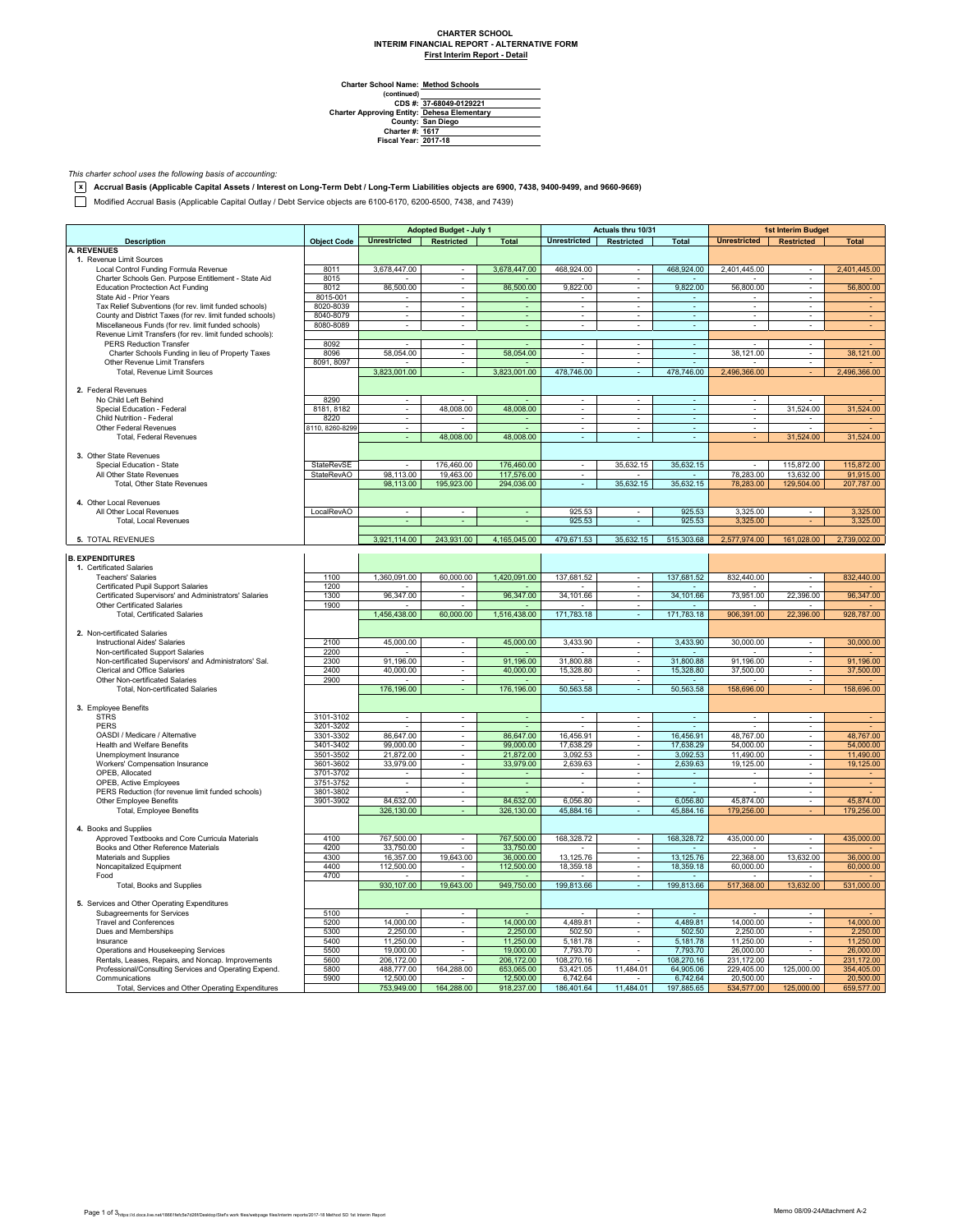## **CHARTER SCHOOL INTERIM FINANCIAL REPORT - ALTERNATIVE FORM First Interim Report - Detail**

**Method Schools**

Charter School Name<br>
(continued)<br>
CDS #:<br>
Charter Approving Entity:<br>
County:<br>
Charter #:<br>
Fiscal Year: **37-68049-0129221 Dehesa Elementary San Diego 1617 2017-18**

*This charter school uses the following basis of accounting:*

**x Accrual Basis (Applicable Capital Assets / Interest on Long-Term Debt / Long-Term Liabilities objects are 6900, 7438, 9400-9499, and 9660-9669)**

Modified Accrual Basis (Applicable Capital Outlay / Debt Service objects are 6100-6170, 6200-6500, 7438, and 7439)

|                                                                                                                  |                        | <b>Adopted Budget - July 1</b>                |                          | Actuals thru 10/31       |                             |                            | <b>1st Interim Budget</b> |                                  |                                                      |                         |
|------------------------------------------------------------------------------------------------------------------|------------------------|-----------------------------------------------|--------------------------|--------------------------|-----------------------------|----------------------------|---------------------------|----------------------------------|------------------------------------------------------|-------------------------|
| <b>Description</b>                                                                                               | <b>Object Code</b>     | <b>Unrestricted</b>                           | Restricted               | <b>Total</b>             | <b>Unrestricted</b>         | Restricted                 | <b>Total</b>              | <b>Unrestricted</b>              | <b>Restricted</b>                                    | <b>Total</b>            |
| <b>A. REVENUES</b>                                                                                               |                        |                                               |                          |                          |                             |                            |                           |                                  |                                                      |                         |
| 1. Revenue Limit Sources                                                                                         |                        |                                               |                          |                          |                             |                            |                           |                                  |                                                      |                         |
| Local Control Funding Formula Revenue                                                                            | 8011                   | 3,678,447.00                                  | $\sim$                   | 3,678,447.00             | 468,924.00                  | $\sim$                     | 468,924.00                | 2,401,445.00                     | $\overline{\phantom{a}}$                             | 2,401,445.00            |
| Charter Schools Gen. Purpose Entitlement - State Aid                                                             | 8015                   |                                               | $\sim$                   |                          |                             | $\sim$                     |                           |                                  | $\sim$                                               |                         |
| <b>Education Proctection Act Funding</b>                                                                         | 8012                   | 86,500.00                                     |                          | 86,500.00                | 9,822.00                    |                            | 9,822.00                  | 56,800.00                        |                                                      | 56,800.00               |
| State Aid - Prior Years                                                                                          | 8015-001<br>8020-8039  | $\mathbf{r}$                                  | $\sim$                   | $\blacksquare$           | $\blacksquare$              | ÷                          |                           |                                  | ÷                                                    |                         |
| Tax Relief Subventions (for rev. limit funded schools)                                                           | 8040-8079              | $\mathcal{L}_{\mathcal{A}}$<br>$\blacksquare$ | $\sim$                   | ÷.<br>$\omega$           | $\omega$<br>$\sim$          | $\omega$<br>$\blacksquare$ | $\omega$<br>$\sim$        | $\mathbb{Z}^+$<br>$\blacksquare$ | $\overline{\phantom{a}}$<br>$\overline{\phantom{a}}$ |                         |
| County and District Taxes (for rev. limit funded schools)<br>Miscellaneous Funds (for rev. limit funded schools) | 8080-8089              | $\sim$                                        | $\sim$                   | $\overline{\phantom{a}}$ | $\sim$                      | $\sim$                     | $\sim$                    | $\sim$                           | $\sim$                                               |                         |
| Revenue Limit Transfers (for rev. limit funded schools):                                                         |                        |                                               |                          |                          |                             |                            |                           |                                  |                                                      |                         |
| <b>PERS Reduction Transfer</b>                                                                                   | 8092                   |                                               | $\overline{\phantom{a}}$ |                          | $\blacksquare$              | $\blacksquare$             | $\overline{\phantom{a}}$  |                                  | $\overline{\phantom{a}}$                             |                         |
| Charter Schools Funding in lieu of Property Taxes                                                                | 8096                   | 58.054.00                                     | $\sim$                   | 58.054.00                | $\sim$                      | $\sim$                     | $\sim$                    | 38.121.00                        | ÷                                                    | 38.121.00               |
| Other Revenue Limit Transfers                                                                                    | 8091, 8097             |                                               | $\blacksquare$           |                          | ä,                          | $\blacksquare$             | $\omega$                  |                                  | $\blacksquare$                                       |                         |
| Total, Revenue Limit Sources                                                                                     |                        | 3,823,001.00                                  | ÷.                       | 3,823,001.00             | 478,746.00                  | $\omega$                   | 478,746.00                | 2,496,366.00                     |                                                      | 2,496,366.00            |
|                                                                                                                  |                        |                                               |                          |                          |                             |                            |                           |                                  |                                                      |                         |
| 2. Federal Revenues                                                                                              |                        |                                               |                          |                          |                             |                            |                           |                                  |                                                      |                         |
| No Child Left Behind                                                                                             | 8290                   |                                               |                          |                          |                             |                            |                           |                                  |                                                      |                         |
| Special Education - Federal                                                                                      | 8181, 8182             | ÷.                                            | 48,008.00                | 48,008.00                | $\sim$                      | ÷.                         | ÷.                        | ÷                                | 31,524.00                                            | 31,524.00               |
| Child Nutrition - Federal                                                                                        | 8220                   | $\overline{\phantom{a}}$                      |                          |                          | $\overline{\phantom{a}}$    | ٠                          | $\sim$                    | $\overline{\phantom{a}}$         |                                                      |                         |
| Other Federal Revenues                                                                                           | 8110, 8260-8299        | $\sim$                                        |                          |                          | $\mathcal{L}_{\mathcal{A}}$ | $\sim$                     | $\sim$                    | $\overline{a}$                   |                                                      |                         |
| Total, Federal Revenues                                                                                          |                        |                                               | 48,008.00                | 48,008.00                |                             |                            |                           |                                  | 31,524.00                                            | 31,524.00               |
|                                                                                                                  |                        |                                               |                          |                          |                             |                            |                           |                                  |                                                      |                         |
| 3. Other State Revenues                                                                                          |                        |                                               |                          |                          |                             |                            |                           |                                  |                                                      |                         |
| Special Education - State                                                                                        | StateRevSE             |                                               | 176,460.00               | 176,460.00               | ×                           | 35,632.15                  | 35,632.15                 |                                  | 115,872.00                                           | 115,872.00              |
| All Other State Revenues                                                                                         | StateRevAO             | 98,113.00                                     | 19,463.00                | 117,576.00               | $\overline{\phantom{a}}$    |                            |                           | 78,283.00                        | 13,632.00                                            | 91,915.00               |
| Total, Other State Revenues                                                                                      |                        | 98,113.00                                     | 195,923.00               | 294,036.00               |                             | 35,632.15                  | 35,632.15                 | 78,283.00                        | 129,504.00                                           | 207,787.00              |
|                                                                                                                  |                        |                                               |                          |                          |                             |                            |                           |                                  |                                                      |                         |
| 4. Other Local Revenues                                                                                          |                        |                                               |                          |                          |                             |                            |                           |                                  |                                                      |                         |
| All Other Local Revenues<br>Total, Local Revenues                                                                | LocalRevAO             |                                               |                          | ÷                        | 925.53<br>925.53            | ÷                          | 925.53<br>925.53          | 3,325.00                         |                                                      | 3,325.00                |
|                                                                                                                  |                        |                                               |                          |                          |                             |                            |                           | 3,325.00                         |                                                      | 3,325.00                |
| 5. TOTAL REVENUES                                                                                                |                        | 3,921,114.00                                  | 243,931.00               | 4,165,045.00             | 479,671.53                  | 35,632.15                  | 515,303.68                | 2,577,974.00                     | 161,028.00                                           | 2,739,002.00            |
|                                                                                                                  |                        |                                               |                          |                          |                             |                            |                           |                                  |                                                      |                         |
| <b>B. EXPENDITURES</b>                                                                                           |                        |                                               |                          |                          |                             |                            |                           |                                  |                                                      |                         |
| 1. Certificated Salaries                                                                                         |                        |                                               |                          |                          |                             |                            |                           |                                  |                                                      |                         |
| <b>Teachers' Salaries</b>                                                                                        | 1100                   | 1,360,091.00                                  | 60,000.00                | 1,420,091.00             | 137,681.52                  | $\sim$                     | 137,681.52                | 832,440.00                       | $\sim$                                               | 832,440.00              |
| Certificated Pupil Support Salaries                                                                              | 1200                   |                                               |                          |                          |                             | $\overline{\phantom{a}}$   |                           |                                  |                                                      |                         |
| Certificated Supervisors' and Administrators' Salaries                                                           | 1300                   | 96,347.00                                     |                          | 96,347.00                | 34,101.66                   | $\blacksquare$             | 34,101.66                 | 73,951.00                        | 22,396.00                                            | 96,347.00               |
| Other Certificated Salaries                                                                                      | 1900                   |                                               |                          |                          |                             |                            |                           |                                  |                                                      |                         |
| <b>Total, Certificated Salaries</b>                                                                              |                        | 1,456,438.00                                  | 60,000.00                | 1,516,438.00             | 171,783.18                  | ÷.                         | 171,783.18                | 906,391.00                       | 22,396.00                                            | 928,787.00              |
|                                                                                                                  |                        |                                               |                          |                          |                             |                            |                           |                                  |                                                      |                         |
| 2. Non-certificated Salaries                                                                                     |                        |                                               |                          |                          |                             |                            |                           |                                  |                                                      |                         |
| Instructional Aides' Salaries                                                                                    | 2100                   | 45,000.00                                     |                          | 45,000.00                | 3,433.90                    |                            | 3,433.90                  | 30,000.00                        |                                                      | 30,000.00               |
| Non-certificated Support Salaries                                                                                | 2200                   |                                               | ÷                        |                          |                             | ÷                          |                           |                                  | ÷                                                    |                         |
| Non-certificated Supervisors' and Administrators' Sal.                                                           | 2300                   | 91,196.00                                     | $\blacksquare$           | 91,196.00                | 31,800.88                   | $\blacksquare$             | 31,800.88                 | 91,196.00                        | $\blacksquare$                                       | 91,196.00               |
| Clerical and Office Salaries                                                                                     | 2400                   | 40,000.00                                     | $\blacksquare$           | 40,000.00                | 15,328.80                   | $\sim$                     | 15,328.80                 | 37,500.00                        | $\overline{\phantom{a}}$                             | 37,500.00               |
| Other Non-certificated Salaries                                                                                  | 2900                   |                                               | $\overline{\phantom{a}}$ |                          |                             | $\sim$                     |                           |                                  | $\overline{\phantom{a}}$                             |                         |
| Total, Non-certificated Salaries                                                                                 |                        | 176,196.00                                    |                          | 176,196.00               | 50,563.58                   |                            | 50,563.58                 | 158,696.00                       |                                                      | 158,696.00              |
|                                                                                                                  |                        |                                               |                          |                          |                             |                            |                           |                                  |                                                      |                         |
| 3. Employee Benefits<br><b>STRS</b>                                                                              |                        | $\sim$                                        | $\blacksquare$           |                          | $\blacksquare$              | $\overline{\phantom{a}}$   | $\omega$                  | $\blacksquare$                   | $\overline{\phantom{a}}$                             |                         |
| <b>PERS</b>                                                                                                      | 3101-3102<br>3201-3202 | $\overline{\phantom{a}}$                      | $\overline{\phantom{a}}$ | ÷<br>$\blacksquare$      | $\overline{\phantom{a}}$    | $\overline{\phantom{a}}$   | $\sim$                    |                                  | $\overline{\phantom{a}}$                             |                         |
| OASDI / Medicare / Alternative                                                                                   | 3301-3302              | 86,647.00                                     | $\overline{\phantom{a}}$ | 86,647.00                | 16,456.91                   | ٠                          | 16,456.91                 | 48,767.00                        | $\overline{\phantom{a}}$                             | 48,767.00               |
| Health and Welfare Benefits                                                                                      | 3401-3402              | 99,000.00                                     |                          | 99,000.00                | 17,638.29                   |                            | 17,638.29                 | 54,000.00                        |                                                      | 54,000.00               |
| Unemployment Insurance                                                                                           | 3501-3502              | 21,872.00                                     |                          | 21,872.00                | 3,092.53                    |                            | 3,092.53                  | 11,490.00                        | $\bar{a}$                                            | 11,490.00               |
| Workers' Compensation Insurance                                                                                  | 3601-3602              | 33,979.00                                     | ÷                        | 33,979.00                | 2,639.63                    | ÷.                         | 2,639.63                  | 19,125.00                        | ä,                                                   | 19,125.00               |
| OPEB, Allocated                                                                                                  | 3701-3702              |                                               | $\overline{\phantom{a}}$ | $\sim$                   | $\overline{\phantom{a}}$    | $\overline{\phantom{a}}$   | $\blacksquare$            |                                  | $\overline{\phantom{a}}$                             |                         |
| OPEB, Active Employees                                                                                           | 3751-3752              | $\sim$                                        | $\sim$                   | ÷.                       | $\sim$                      | $\sim$                     | $\sim$                    | $\sim$                           | $\sim$                                               |                         |
| PERS Reduction (for revenue limit funded schools)                                                                | 3801-3802              |                                               |                          |                          |                             |                            |                           |                                  |                                                      |                         |
| Other Employee Benefits                                                                                          | 3901-3902              | 84,632.00                                     | ÷.                       | 84,632.00                | 6,056.80                    | ÷                          | 6,056.80                  | 45,874.00                        | ÷                                                    | 45,874.00               |
| Total, Employee Benefits                                                                                         |                        | 326,130.00                                    |                          | 326,130.00               | 45,884.16                   | ÷.                         | 45,884.16                 | 179,256.00                       |                                                      | 179,256.00              |
|                                                                                                                  |                        |                                               |                          |                          |                             |                            |                           |                                  |                                                      |                         |
| 4. Books and Supplies                                                                                            |                        |                                               |                          |                          |                             |                            |                           |                                  |                                                      |                         |
| Approved Textbooks and Core Curricula Materials                                                                  | 4100                   | 767,500.00                                    | $\blacksquare$           | 767,500.00               | 168,328.72                  | $\blacksquare$             | 168,328.72                | 435,000.00                       | ÷,                                                   | 435,000.00              |
| Books and Other Reference Materials                                                                              | 4200                   | 33,750.00                                     |                          | 33,750.00                |                             | $\overline{\phantom{a}}$   |                           |                                  |                                                      |                         |
| Materials and Supplies                                                                                           | 4300                   | 16,357.00                                     | 19.643.00                | 36,000.00                | 13.125.76                   | $\sim$                     | 13.125.76                 | 22.368.00                        | 13.632.00                                            | 36,000.00               |
| Noncapitalized Equipment                                                                                         | 4400                   | 112,500.00                                    |                          | 112,500.00               | 18,359.18                   | $\blacksquare$             | 18,359.18                 | 60,000.00                        |                                                      | 60,000.00               |
| Food                                                                                                             | 4700                   |                                               | $\sim$                   |                          |                             | $\overline{\phantom{a}}$   |                           |                                  | ÷                                                    |                         |
| Total, Books and Supplies                                                                                        |                        | 930,107.00                                    | 19,643.00                | 949,750.00               | 199,813.66                  | ÷                          | 199,813.66                | 517,368.00                       | 13,632.00                                            | 531,000.00              |
|                                                                                                                  |                        |                                               |                          |                          |                             |                            |                           |                                  |                                                      |                         |
| 5. Services and Other Operating Expenditures                                                                     |                        |                                               |                          |                          |                             |                            |                           |                                  |                                                      |                         |
| Subagreements for Services                                                                                       | 5100                   |                                               | $\sim$                   |                          |                             | $\omega$                   |                           |                                  | $\sim$                                               |                         |
| <b>Travel and Conferences</b>                                                                                    | 5200                   | 14,000.00                                     | $\overline{\phantom{a}}$ | 14,000.00                | 4,489.81                    | $\overline{\phantom{a}}$   | 4,489.81                  | 14,000.00                        | $\overline{\phantom{a}}$                             | 14,000.00               |
| Dues and Memberships                                                                                             | 5300                   | 2.250.00                                      | $\sim$                   | 2.250.00                 | 502.50                      | $\sim$                     | 502.50                    | 2.250.00                         | $\sim$                                               | 2.250.00                |
| Insurance                                                                                                        | 5400                   | 11,250.00                                     | ÷.                       | 11,250.00                | 5,181.78                    |                            | 5,181.78                  | 11,250.00                        | ÷                                                    | 11,250.00               |
| Operations and Housekeeping Services<br>Rentals, Leases, Repairs, and Noncap. Improvements                       | 5500<br>5600           | 19,000.00<br>206,172.00                       |                          | 19,000.00<br>206,172.00  | 7,793.70<br>108,270.16      | ÷                          | 7,793.70<br>108,270.16    | 26,000.00<br>231,172.00          |                                                      | 26,000.00<br>231,172.00 |
| Professional/Consulting Services and Operating Expend.                                                           | 5800                   | 488,777.00                                    | 164,288.00               | 653,065.00               | 53,421.05                   | 11,484.01                  | 64,905.06                 | 229,405.00                       | 125,000.00                                           | 354,405.00              |
| Communications                                                                                                   | 5900                   | 12,500.00                                     |                          | 12,500.00                | 6,742.64                    |                            | 6,742.64                  | 20,500.00                        |                                                      | 20,500.00               |
| Total, Services and Other Operating Expenditures                                                                 |                        | 753,949.00                                    | 164,288.00               | 918,237.00               | 186,401.64                  | 11,484.01                  | 197,885.65                | 534,577.00                       | 125,000.00                                           | 659,577.00              |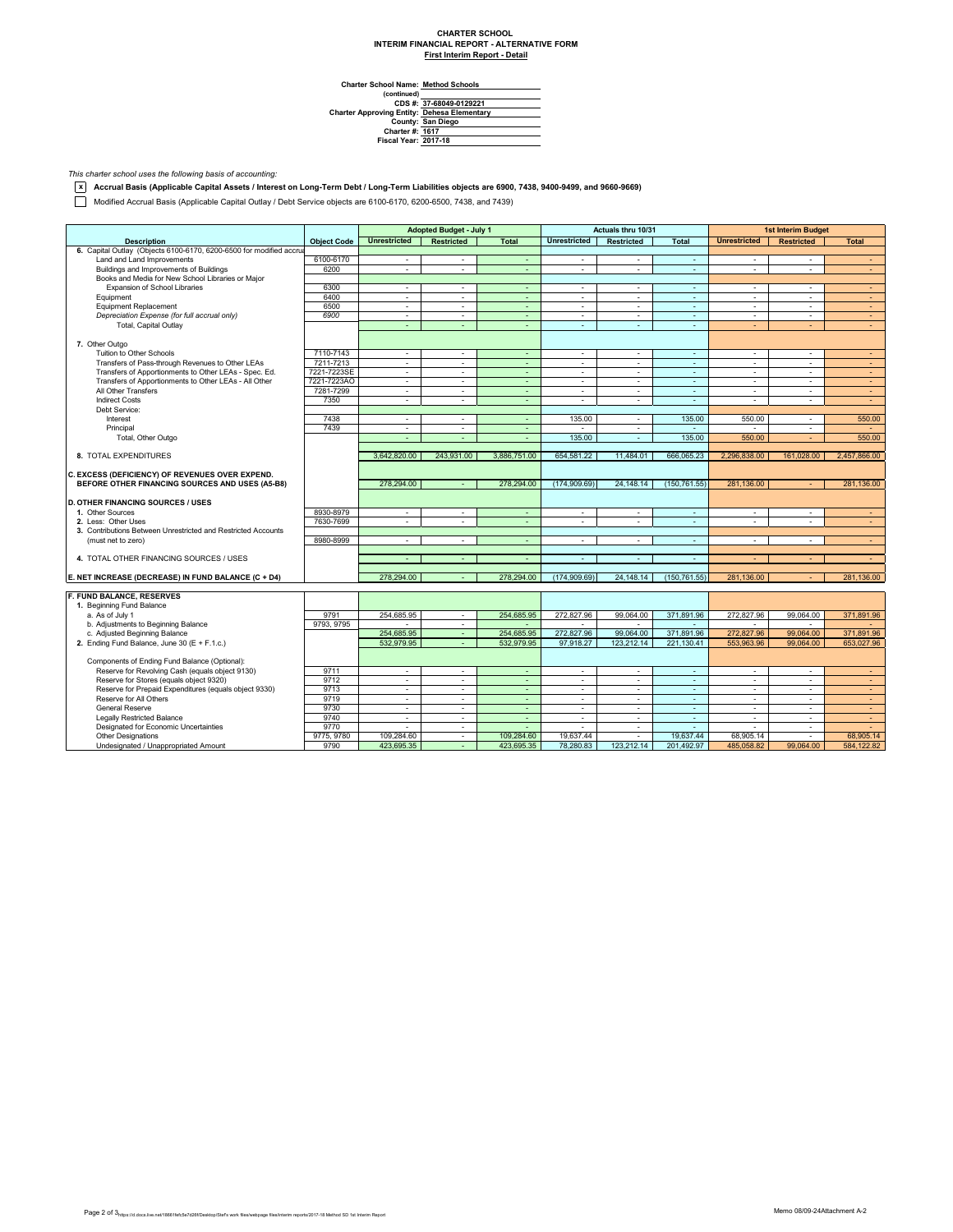## **CHARTER SCHOOL INTERIM FINANCIAL REPORT - ALTERNATIVE FORM First Interim Report - Detail**

**Method Schools**

Charter School Name<br>
(continued)<br>
CDS #:<br>
Charter Approving Entity:<br>
County:<br>
Charter #:<br>
Fiscal Year: **37-68049-0129221 Dehesa Elementary San Diego 1617 2017-18**

*This charter school uses the following basis of accounting:*

**x Accrual Basis (Applicable Capital Assets / Interest on Long-Term Debt / Long-Term Liabilities objects are 6900, 7438, 9400-9499, and 9660-9669)**

Modified Accrual Basis (Applicable Capital Outlay / Debt Service objects are 6100-6170, 6200-6500, 7438, and 7439)

|                                                                     |                    | Adopted Budget - July 1  |                   | Actuals thru 10/31 |                             |                   | <b>1st Interim Budget</b> |                          |                                |                  |
|---------------------------------------------------------------------|--------------------|--------------------------|-------------------|--------------------|-----------------------------|-------------------|---------------------------|--------------------------|--------------------------------|------------------|
| <b>Description</b>                                                  | <b>Object Code</b> | <b>Unrestricted</b>      | <b>Restricted</b> | <b>Total</b>       | <b>Unrestricted</b>         | <b>Restricted</b> | <b>Total</b>              | <b>Unrestricted</b>      | <b>Restricted</b>              | <b>Total</b>     |
| 6. Capital Outlay (Objects 6100-6170, 6200-6500 for modified accrua |                    |                          |                   |                    |                             |                   |                           |                          |                                |                  |
| Land and Land Improvements                                          | 6100-6170          | ÷.                       | $\sim$            | $\sim$             | $\sim$                      | $\sim$            | $\sim$                    | $\sim$                   | $\sim$                         | $\sim$           |
| Buildings and Improvements of Buildings                             | 6200               | ÷                        | $\sim$            | ÷.                 | ÷                           | $\sim$            | ÷.                        | ÷.                       | ÷                              | $\omega_{\rm c}$ |
| Books and Media for New School Libraries or Major                   |                    |                          |                   |                    |                             |                   |                           |                          |                                |                  |
| Expansion of School Libraries                                       | 6300               | ÷.                       | ×                 | $\sim$             | ÷.                          | $\sim$            | ÷.                        | $\sim$                   | ٠                              | $\sim$           |
| Equipment                                                           | 6400               | $\blacksquare$           | $\sim$            | ÷.                 | $\blacksquare$              | $\sim$            | ÷.                        | ÷.                       | $\mathbf{r}$                   | $\sim$           |
| <b>Equipment Replacement</b>                                        | 6500               | $\sim$                   | $\sim$            | ÷                  | $\overline{\phantom{a}}$    | $\sim$            | $\omega$                  | $\overline{\phantom{a}}$ | ٠                              | $\sim$           |
| Depreciation Expense (for full accrual only)                        | 6900               | ٠                        | $\sim$            | $\blacksquare$     | $\sim$                      | $\sim$            | ÷                         | $\blacksquare$           | ٠                              | $\sim$           |
| Total, Capital Outlay                                               |                    | ÷                        | ÷                 | ÷.                 | ÷                           | $\sim$            | ä,                        | ÷                        |                                | $\sim$           |
|                                                                     |                    |                          |                   |                    |                             |                   |                           |                          |                                |                  |
| 7. Other Outgo                                                      |                    |                          |                   |                    |                             |                   |                           |                          |                                |                  |
| Tuition to Other Schools                                            | 7110-7143          | ÷                        | $\sim$            | ÷                  | ÷                           | $\sim$            | ÷.                        | ÷.                       | ÷                              | $\sim$           |
| Transfers of Pass-through Revenues to Other LEAs                    | 7211-7213          | $\sim$                   | $\sim$            | $\sim$             | $\overline{\phantom{a}}$    | $\sim$            | $\sim$                    | $\overline{\phantom{a}}$ | $\sim$                         | $\sim$           |
| Transfers of Apportionments to Other LEAs - Spec. Ed.               | 7221-7223SE        | ÷.                       | $\sim$            | ÷                  | $\sim$                      | $\sim$            | $\sim$                    | $\overline{\phantom{a}}$ | $\mathbf{r}$                   | $\omega$         |
| Transfers of Apportionments to Other LEAs - All Other               | 7221-7223AO        | ÷.                       | $\sim$            | ÷.                 | ÷.                          | $\sim$            | ÷.                        | ÷                        | $\mathbf{r}$                   | $\sim$           |
| All Other Transfers                                                 | 7281-7299          | $\sim$                   | $\sim$            | $\sim$             | $\sim$                      | $\sim$            | $\sim$                    | $\sim$                   | $\overline{\phantom{a}}$       | $\sim$           |
| <b>Indirect Costs</b>                                               | 7350               | ÷                        | $\sim$            | ÷                  | $\sim$                      | $\sim$            | $\sim$                    | $\overline{\phantom{a}}$ | $\mathbf{r}$                   | $\sim$           |
| Debt Service:                                                       |                    |                          |                   |                    |                             |                   |                           |                          |                                |                  |
| Interest                                                            | 7438               | $\sim$                   | $\sim$            | $\sim$             | 135.00                      | $\sim$            | 135.00                    | 550.00                   | $\sim$                         | 550.00           |
|                                                                     | 7439               |                          |                   |                    |                             |                   |                           |                          |                                |                  |
| Principal                                                           |                    | $\sim$<br>÷              | $\sim$<br>÷.      | $\sim$             | 135.00                      | $\sim$            | ÷<br>135.00               |                          | $\overline{\phantom{a}}$<br>÷. | $\sim$<br>550.00 |
| Total, Other Outgo                                                  |                    |                          |                   | ÷.                 |                             | ×.                |                           | 550.00                   |                                |                  |
|                                                                     |                    |                          |                   |                    |                             |                   |                           |                          |                                |                  |
| 8. TOTAL EXPENDITURES                                               |                    | 3,642,820.00             | 243,931.00        | 3,886,751.00       | 654,581.22                  | 11,484.01         | 666,065.23                | 2,296,838.00             | 161,028.00                     | 2,457,866.00     |
|                                                                     |                    |                          |                   |                    |                             |                   |                           |                          |                                |                  |
| C. EXCESS (DEFICIENCY) OF REVENUES OVER EXPEND.                     |                    |                          |                   |                    |                             |                   |                           |                          |                                |                  |
| BEFORE OTHER FINANCING SOURCES AND USES (A5-B8)                     |                    | 278,294.00               | $\sim$            | 278,294.00         | (174, 909.69)               | 24,148.14         | (150.761.55)              | 281,136.00               |                                | 281.136.00       |
|                                                                     |                    |                          |                   |                    |                             |                   |                           |                          |                                |                  |
| <b>D. OTHER FINANCING SOURCES / USES</b>                            |                    |                          |                   |                    |                             |                   |                           |                          |                                |                  |
| 1. Other Sources                                                    | 8930-8979          | $\sim$                   | $\sim$            | $\blacksquare$     | $\sim$                      | $\sim$            | $\sim$                    | $\sim$                   | $\mathbf{r}$                   | $\sim$           |
| 2. Less: Other Uses                                                 | 7630-7699          | ÷                        | $\sim$            | ÷                  | $\mathcal{L}_{\mathcal{A}}$ | $\sim$            | ÷.                        | ÷,                       | ÷.                             | $\sim$           |
| 3. Contributions Between Unrestricted and Restricted Accounts       |                    |                          |                   |                    |                             |                   |                           |                          |                                |                  |
| (must net to zero)                                                  | 8980-8999          | $\sim$                   | $\sim$            | ٠                  | $\sim$                      | $\sim$            | ÷                         | $\overline{\phantom{a}}$ | $\mathbf{r}$                   | $\sim$           |
|                                                                     |                    |                          |                   |                    |                             |                   |                           |                          |                                |                  |
| 4. TOTAL OTHER FINANCING SOURCES / USES                             |                    | $\sim$                   | $\sim$            | $\sim$             | $\sim$                      | $\sim$            | $\sim$                    |                          |                                | $\sim$           |
|                                                                     |                    |                          |                   |                    |                             |                   |                           |                          |                                |                  |
| E. NET INCREASE (DECREASE) IN FUND BALANCE (C + D4)                 |                    | 278,294.00               |                   | 278,294.00         | (174, 909.69)               | 24,148.14         | (150, 761.55)             | 281,136.00               |                                | 281,136.00       |
|                                                                     |                    |                          |                   |                    |                             |                   |                           |                          |                                |                  |
| F. FUND BALANCE, RESERVES                                           |                    |                          |                   |                    |                             |                   |                           |                          |                                |                  |
| 1. Beginning Fund Balance                                           |                    |                          |                   |                    |                             |                   |                           |                          |                                |                  |
| a. As of July 1                                                     | 9791               | 254.685.95               | $\sim$            | 254.685.95         | 272.827.96                  | 99.064.00         | 371.891.96                | 272.827.96               | 99.064.00                      | 371.891.96       |
| b. Adjustments to Beginning Balance                                 | 9793, 9795         |                          | $\sim$            |                    |                             |                   |                           |                          |                                |                  |
| c. Adjusted Beginning Balance                                       |                    | 254.685.95               | $\sim$            | 254.685.95         | 272,827,96                  | 99.064.00         | 371,891.96                | 272.827.96               | 99.064.00                      | 371.891.96       |
| 2. Ending Fund Balance, June 30 (E + F.1.c.)                        |                    | 532.979.95               | $\sim$            | 532,979.95         | 97.918.27                   | 123.212.14        | 221.130.41                | 553,963.96               | 99.064.00                      | 653,027.96       |
|                                                                     |                    |                          |                   |                    |                             |                   |                           |                          |                                |                  |
| Components of Ending Fund Balance (Optional):                       |                    |                          |                   |                    |                             |                   |                           |                          |                                |                  |
| Reserve for Revolving Cash (equals object 9130)                     | 9711               | $\sim$                   | ×.                | ÷.                 | $\sim$                      | $\sim$            | $\sim$                    | $\sim$                   | ×.                             | $\sim$           |
| Reserve for Stores (equals object 9320)                             | 9712               | $\sim$                   | $\sim$            | ÷                  | $\sim$                      | $\sim$            | $\omega$                  | ٠                        | ٠                              | $\sim$           |
| Reserve for Prepaid Expenditures (equals object 9330)               | 9713               | $\overline{\phantom{a}}$ | $\sim$            | ÷                  | $\overline{\phantom{a}}$    | $\sim$            | $\sim$                    | $\sim$                   | $\mathbf{r}$                   | $\sim$           |
| Reserve for All Others                                              | 9719               | $\sim$                   | ×.                | ÷.                 | $\sim$                      | $\sim$            | $\sim$                    | $\sim$                   | ÷.                             | $\sim$           |
| <b>General Reserve</b>                                              | 9730               | $\blacksquare$           | $\sim$            | ÷.                 | $\mathcal{L}_{\mathcal{A}}$ | $\sim$            | ÷.                        | ٠                        | ٠                              | $\sim$           |
| <b>Legally Restricted Balance</b>                                   | 9740               | $\sim$                   | $\sim$            | $\sim$             | $\sim$                      | $\sim$            | $\sim$                    | $\sim$                   | $\mathbf{r}$                   | $\sim$           |
| Designated for Economic Uncertainties                               | 9770               | $\sim$                   | $\sim$            | $\sim$             | $\sim$                      | $\sim$            | $\sim$                    | $\sim$                   | ٠                              | $\sim$           |
| <b>Other Designations</b>                                           | 9775, 9780         | 109.284.60               | $\sim$            | 109.284.60         | 19.637.44                   | $\sim$            | 19.637.44                 | 68.905.14                |                                | 68.905.14        |
| Undesignated / Unappropriated Amount                                | 9790               | 423,695.35               | $\sim$            | 423,695.35         | 78,280.83                   | 123,212.14        | 201.492.97                | 485.058.82               | 99.064.00                      | 584,122.82       |